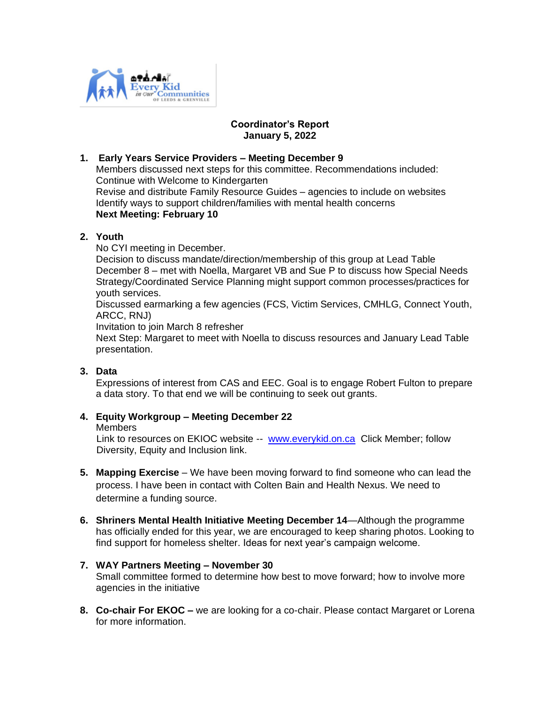

# **Coordinator's Report January 5, 2022**

### **1. Early Years Service Providers – Meeting December 9**

Members discussed next steps for this committee. Recommendations included: Continue with Welcome to Kindergarten Revise and distribute Family Resource Guides – agencies to include on websites Identify ways to support children/families with mental health concerns **Next Meeting: February 10**

# **2. Youth**

No CYI meeting in December.

Decision to discuss mandate/direction/membership of this group at Lead Table December 8 – met with Noella, Margaret VB and Sue P to discuss how Special Needs Strategy/Coordinated Service Planning might support common processes/practices for youth services.

Discussed earmarking a few agencies (FCS, Victim Services, CMHLG, Connect Youth, ARCC, RNJ)

Invitation to join March 8 refresher

 Next Step: Margaret to meet with Noella to discuss resources and January Lead Table presentation.

# **3. Data**

Expressions of interest from CAS and EEC. Goal is to engage Robert Fulton to prepare a data story. To that end we will be continuing to seek out grants.

# **4. Equity Workgroup – Meeting December 22**

#### **Members**

Link to resources on EKIOC website -- [www.everykid.on.ca](http://www.everykid.on.ca/) Click Member; follow Diversity, Equity and Inclusion link.

- **5. Mapping Exercise** We have been moving forward to find someone who can lead the process. I have been in contact with Colten Bain and Health Nexus. We need to determine a funding source.
- **6. Shriners Mental Health Initiative Meeting December 14**—Although the programme has officially ended for this year, we are encouraged to keep sharing photos. Looking to find support for homeless shelter. Ideas for next year's campaign welcome.

# **7. WAY Partners Meeting – November 30**

Small committee formed to determine how best to move forward; how to involve more agencies in the initiative

**8. Co-chair For EKOC –** we are looking for a co-chair. Please contact Margaret or Lorena for more information.